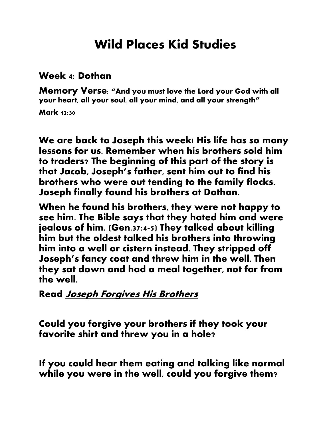## **Wild Places Kid Studies**

## **Week 4: Dothan**

**Memory Verse: "And you must love the Lord your God with all your heart, all your soul, all your mind, and all your strength" Mark 12:30** 

**We are back to Joseph this week! His life has so many lessons for us. Remember when his brothers sold him to traders? The beginning of this part of the story is that Jacob, Joseph's father, sent him out to find his brothers who were out tending to the family flocks. Joseph finally found his brothers at Dothan.** 

**When he found his brothers, they were not happy to see him. The Bible says that they hated him and were jealous of him. (Gen.37:4-5) They talked about killing him but the oldest talked his brothers into throwing him into a well or cistern instead. They stripped off Joseph's fancy coat and threw him in the well. Then they sat down and had a meal together, not far from the well.**

## **Read Joseph Forgives His Brothers**

**Could you forgive your brothers if they took your favorite shirt and threw you in a hole?**

**If you could hear them eating and talking like normal while you were in the well, could you forgive them?**